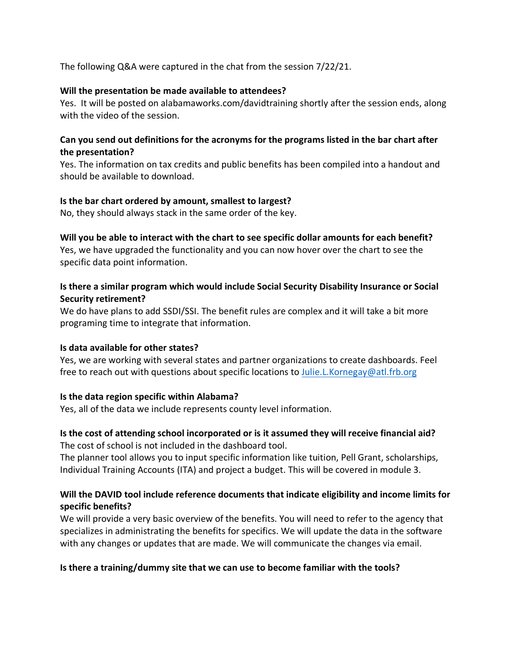The following Q&A were captured in the chat from the session 7/22/21.

#### **Will the presentation be made available to attendees?**

Yes. It will be posted on alabamaworks.com/davidtraining shortly after the session ends, along with the video of the session.

## **Can you send out definitions for the acronyms for the programs listed in the bar chart after the presentation?**

Yes. The information on tax credits and public benefits has been compiled into a handout and should be available to download.

#### **Is the bar chart ordered by amount, smallest to largest?**

No, they should always stack in the same order of the key.

## **Will you be able to interact with the chart to see specific dollar amounts for each benefit?**

Yes, we have upgraded the functionality and you can now hover over the chart to see the specific data point information.

# **Is there a similar program which would include Social Security Disability Insurance or Social Security retirement?**

We do have plans to add SSDI/SSI. The benefit rules are complex and it will take a bit more programing time to integrate that information.

## **Is data available for other states?**

Yes, we are working with several states and partner organizations to create dashboards. Feel free to reach out with questions about specific locations to Julie.L.Kornegay@atl.frb.org

## **Is the data region specific within Alabama?**

Yes, all of the data we include represents county level information.

#### **Is the cost of attending school incorporated or is it assumed they will receive financial aid?** The cost of school is not included in the dashboard tool.

The planner tool allows you to input specific information like tuition, Pell Grant, scholarships, Individual Training Accounts (ITA) and project a budget. This will be covered in module 3.

## **Will the DAVID tool include reference documents that indicate eligibility and income limits for specific benefits?**

We will provide a very basic overview of the benefits. You will need to refer to the agency that specializes in administrating the benefits for specifics. We will update the data in the software with any changes or updates that are made. We will communicate the changes via email.

## **Is there a training/dummy site that we can use to become familiar with the tools?**